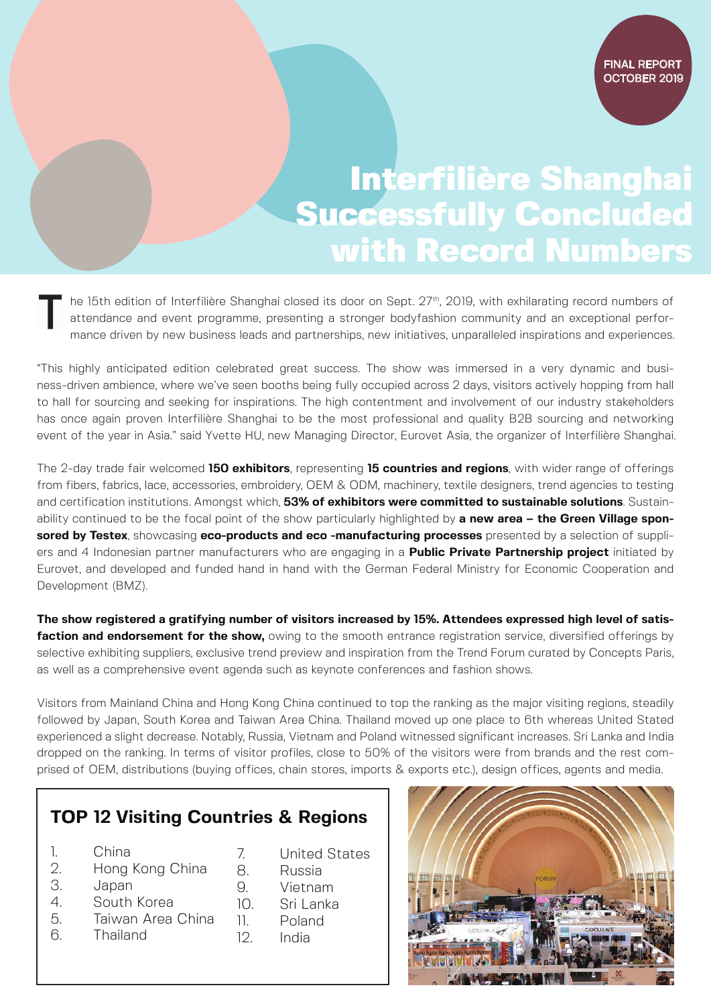## Interfilière Shanghai Successfully Concluded with Record Numbers

he 15th edition of Interfilière Shanghai closed its door on Sept. 27<sup>th</sup>, 2019, with exhilarating record numbers of attendance and event programme, presenting a stronger bodyfashion community and an exceptional performance driven by new business leads and partnerships, new initiatives, unparalleled inspirations and experiences.

"This highly anticipated edition celebrated great success. The show was immersed in a very dynamic and business-driven ambience, where we've seen booths being fully occupied across 2 days, visitors actively hopping from hall to hall for sourcing and seeking for inspirations. The high contentment and involvement of our industry stakeholders has once again proven Interfilière Shanghai to be the most professional and quality B2B sourcing and networking event of the year in Asia." said Yvette HU, new Managing Director, Eurovet Asia, the organizer of Interfilière Shanghai.

The 2-day trade fair welcomed **150 exhibitors**, representing **15 countries and regions**, with wider range of offerings from fibers, fabrics, lace, accessories, embroidery, OEM & ODM, machinery, textile designers, trend agencies to testing and certification institutions. Amongst which, **53% of exhibitors were committed to sustainable solutions**. Sustainability continued to be the focal point of the show particularly highlighted by **a new area – the Green Village sponsored by Testex**, showcasing **eco-products and eco -manufacturing processes** presented by a selection of suppliers and 4 Indonesian partner manufacturers who are engaging in a **Public Private Partnership project** initiated by Eurovet, and developed and funded hand in hand with the German Federal Ministry for Economic Cooperation and Development (BMZ).

**The show registered a gratifying number of visitors increased by 15%. Attendees expressed high level of satisfaction and endorsement for the show,** owing to the smooth entrance registration service, diversified offerings by selective exhibiting suppliers, exclusive trend preview and inspiration from the Trend Forum curated by Concepts Paris, as well as a comprehensive event agenda such as keynote conferences and fashion shows.

Visitors from Mainland China and Hong Kong China continued to top the ranking as the major visiting regions, steadily followed by Japan, South Korea and Taiwan Area China. Thailand moved up one place to 6th whereas United Stated experienced a slight decrease. Notably, Russia, Vietnam and Poland witnessed significant increases. Sri Lanka and India dropped on the ranking. In terms of visitor profiles, close to 50% of the visitors were from brands and the rest comprised of OEM, distributions (buying offices, chain stores, imports & exports etc.), design offices, agents and media.

## **TOP 12 Visiting Countries & Regions**

- 1. China
- 2. Hong Kong China
- 3. Japan
- 4. South Korea
- 5. Taiwan Area China
- 6. Thailand
- 7. United States
- 8. Russia
- 9. Vietnam
- 10. Sri Lanka
- 11. Poland
- 12. India